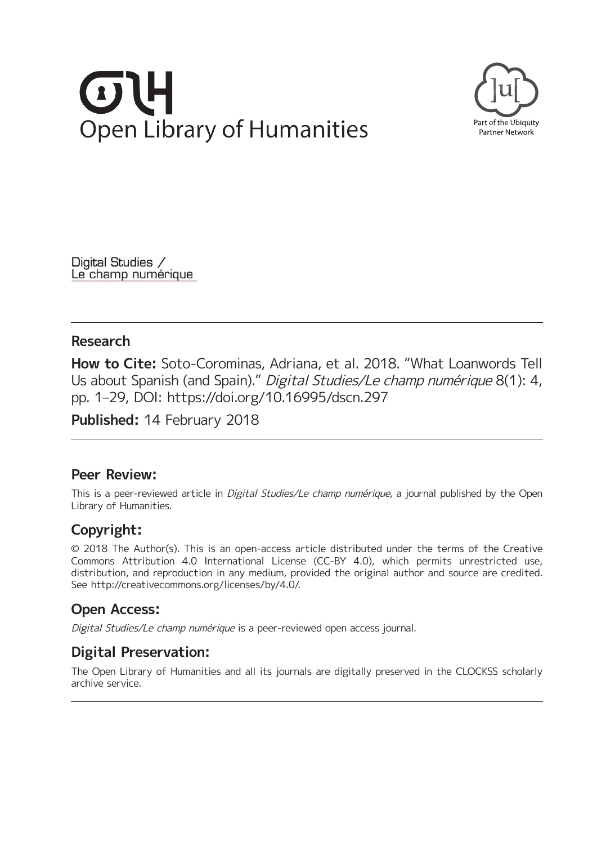# $\begin{array}{c} \begin{array}{c} \hline \end{array} \end{array}$ **Open Library of Humanities**



Digital Studies / Le champ numérique

### **Research**

**How to Cite:** Soto-Corominas, Adriana, et al. 2018. "What Loanwords Tell Us about Spanish (and Spain)." Digital Studies/Le champ numérique 8(1): 4, pp. 1–29, DOI:<https://doi.org/10.16995/dscn.297>

**Published:** 14 February 2018

## **Peer Review:**

This is a peer-reviewed article in *Digital Studies/Le champ numérique*, a journal published by the Open Library of Humanities.

## **Copyright:**

© 2018 The Author(s). This is an open-access article distributed under the terms of the Creative Commons Attribution 4.0 International License (CC-BY 4.0), which permits unrestricted use, distribution, and reproduction in any medium, provided the original author and source are credited. See [http://creativecommons.org/licenses/by/4.0/.](http://creativecommons.org/licenses/by/4.0/)

## **Open Access:**

Digital Studies/Le champ numérique is a peer-reviewed open access journal.

## **Digital Preservation:**

The Open Library of Humanities and all its journals are digitally preserved in the CLOCKSS scholarly archive service.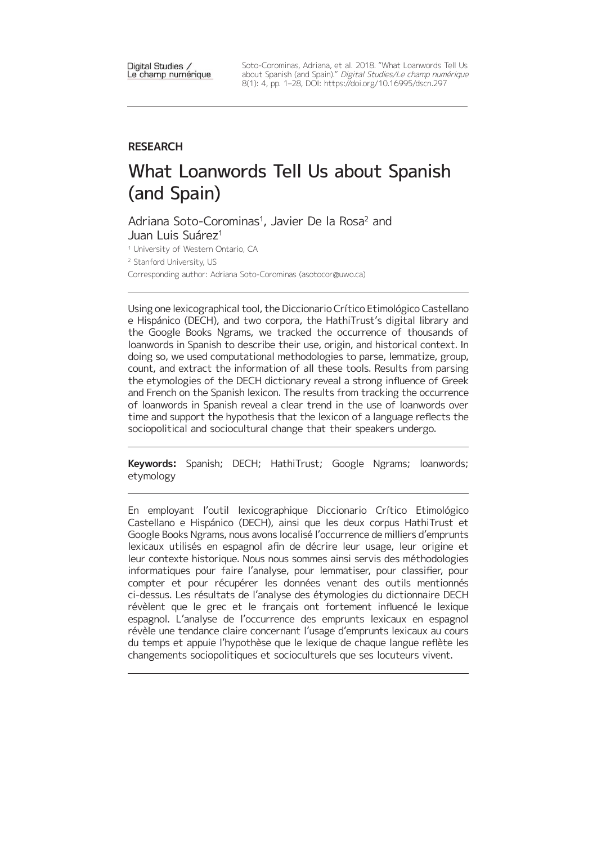Digital Studies / Le champ numérique Soto-Corominas, Adriana, et al. 2018. "What Loanwords Tell Us about Spanish (and Spain)." Digital Studies/Le champ numérique 8(1): 4, pp. 1–28, DOI:<https://doi.org/10.16995/dscn.297>

#### **RESEARCH**

## What Loanwords Tell Us about Spanish (and Spain)

Adriana Soto-Corominas<sup>1</sup>, Javier De la Rosa<sup>2</sup> and Juan Luis Suárez<sup>1</sup>

<sup>1</sup> University of Western Ontario, CA

<sup>2</sup> Stanford University, US

Corresponding author: Adriana Soto-Corominas [\(asotocor@uwo.ca](mailto:asotocor@uwo.ca))

Using one lexicographical tool, the Diccionario Crítico Etimológico Castellano e Hispánico (DECH), and two corpora, the HathiTrust's digital library and the Google Books Ngrams, we tracked the occurrence of thousands of loanwords in Spanish to describe their use, origin, and historical context. In doing so, we used computational methodologies to parse, lemmatize, group, count, and extract the information of all these tools. Results from parsing the etymologies of the DECH dictionary reveal a strong influence of Greek and French on the Spanish lexicon. The results from tracking the occurrence of loanwords in Spanish reveal a clear trend in the use of loanwords over time and support the hypothesis that the lexicon of a language reflects the sociopolitical and sociocultural change that their speakers undergo.

**Keywords:** Spanish; DECH; HathiTrust; Google Ngrams; loanwords; etymology

En employant l'outil lexicographique Diccionario Crítico Etimológico Castellano e Hispánico (DECH), ainsi que les deux corpus HathiTrust et Google Books Ngrams, nous avons localisé l'occurrence de milliers d'emprunts lexicaux utilisés en espagnol afin de décrire leur usage, leur origine et leur contexte historique. Nous nous sommes ainsi servis des méthodologies informatiques pour faire l'analyse, pour lemmatiser, pour classifier, pour compter et pour récupérer les données venant des outils mentionnés ci-dessus. Les résultats de l'analyse des étymologies du dictionnaire DECH révèlent que le grec et le français ont fortement influencé le lexique espagnol. L'analyse de l'occurrence des emprunts lexicaux en espagnol révèle une tendance claire concernant l'usage d'emprunts lexicaux au cours du temps et appuie l'hypothèse que le lexique de chaque langue reflète les changements sociopolitiques et socioculturels que ses locuteurs vivent.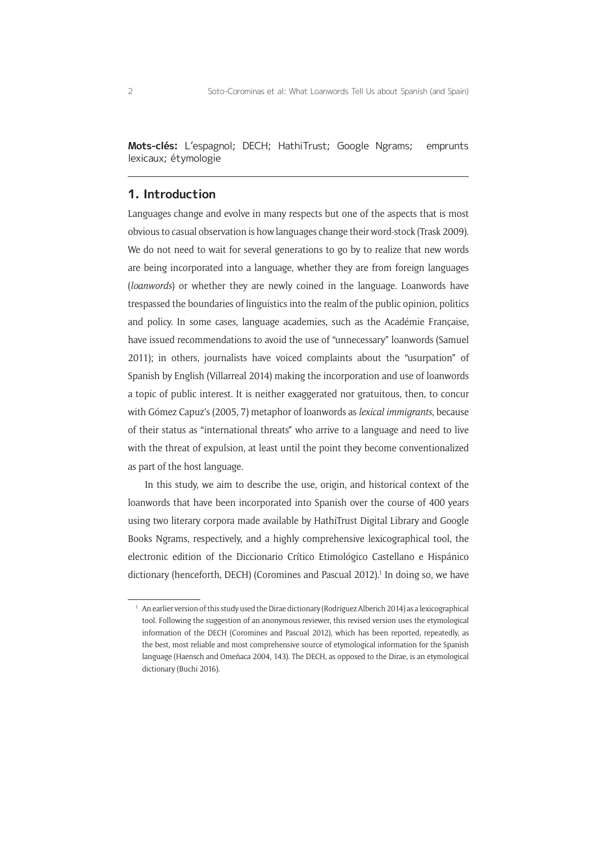**Mots-clés:** L'espagnol; DECH; HathiTrust; Google Ngrams; emprunts lexicaux; étymologie

#### **1. Introduction**

Languages change and evolve in many respects but one of the aspects that is most obvious to casual observation is how languages change their word-stock (Trask 2009). We do not need to wait for several generations to go by to realize that new words are being incorporated into a language, whether they are from foreign languages (*loanwords*) or whether they are newly coined in the language. Loanwords have trespassed the boundaries of linguistics into the realm of the public opinion, politics and policy. In some cases, language academies, such as the Académie Française, have issued recommendations to avoid the use of "unnecessary" loanwords (Samuel 2011); in others, journalists have voiced complaints about the "usurpation" of Spanish by English (Villarreal 2014) making the incorporation and use of loanwords a topic of public interest. It is neither exaggerated nor gratuitous, then, to concur with Gómez Capuz's (2005, 7) metaphor of loanwords as *lexical immigrants*, because of their status as "international threats" who arrive to a language and need to live with the threat of expulsion, at least until the point they become conventionalized as part of the host language.

In this study, we aim to describe the use, origin, and historical context of the loanwords that have been incorporated into Spanish over the course of 400 years using two literary corpora made available by HathiTrust Digital Library and Google Books Ngrams, respectively, and a highly comprehensive lexicographical tool, the electronic edition of the Diccionario Crítico Etimológico Castellano e Hispánico dictionary (henceforth, DECH) (Coromines and Pascual 2012).<sup>1</sup> In doing so, we have

<sup>1</sup> An earlier version of this study used the Dirae dictionary (Rodríguez Alberich 2014) as a lexicographical tool. Following the suggestion of an anonymous reviewer, this revised version uses the etymological information of the DECH (Coromines and Pascual 2012), which has been reported, repeatedly, as the best, most reliable and most comprehensive source of etymological information for the Spanish language (Haensch and Omeñaca 2004, 143). The DECH, as opposed to the Dirae, is an etymological dictionary (Buchi 2016).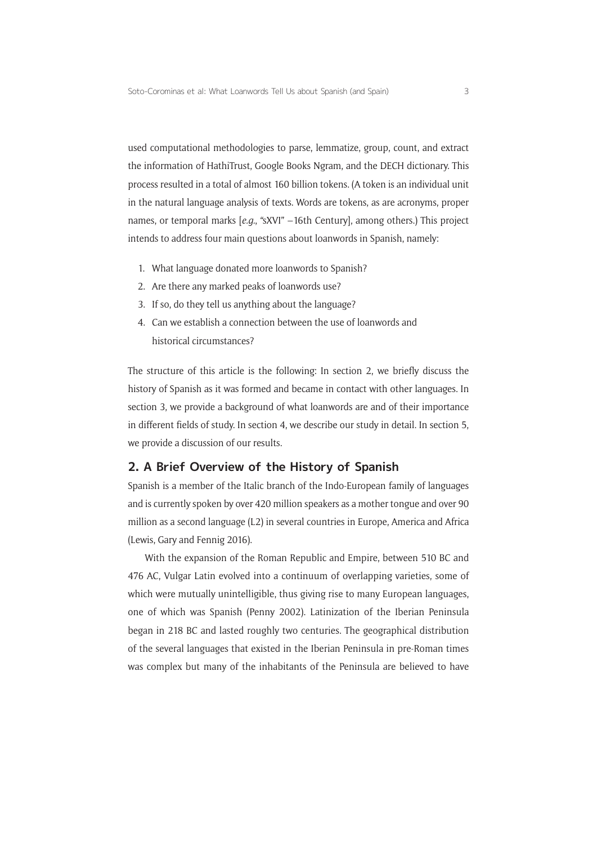used computational methodologies to parse, lemmatize, group, count, and extract the information of HathiTrust, Google Books Ngram, and the DECH dictionary. This process resulted in a total of almost 160 billion tokens. (A token is an individual unit in the natural language analysis of texts. Words are tokens, as are acronyms, proper names, or temporal marks [*e.g.*, "sXVI" –16th Century], among others.) This project intends to address four main questions about loanwords in Spanish, namely:

- 1. What language donated more loanwords to Spanish?
- 2. Are there any marked peaks of loanwords use?
- 3. If so, do they tell us anything about the language?
- 4. Can we establish a connection between the use of loanwords and historical circumstances?

The structure of this article is the following: In section 2, we briefly discuss the history of Spanish as it was formed and became in contact with other languages. In section 3, we provide a background of what loanwords are and of their importance in different fields of study. In section 4, we describe our study in detail. In section 5, we provide a discussion of our results.

#### **2. A Brief Overview of the History of Spanish**

Spanish is a member of the Italic branch of the Indo-European family of languages and is currently spoken by over 420 million speakers as a mother tongue and over 90 million as a second language (L2) in several countries in Europe, America and Africa (Lewis, Gary and Fennig 2016).

With the expansion of the Roman Republic and Empire, between 510 BC and 476 AC, Vulgar Latin evolved into a continuum of overlapping varieties, some of which were mutually unintelligible, thus giving rise to many European languages, one of which was Spanish (Penny 2002). Latinization of the Iberian Peninsula began in 218 BC and lasted roughly two centuries. The geographical distribution of the several languages that existed in the Iberian Peninsula in pre-Roman times was complex but many of the inhabitants of the Peninsula are believed to have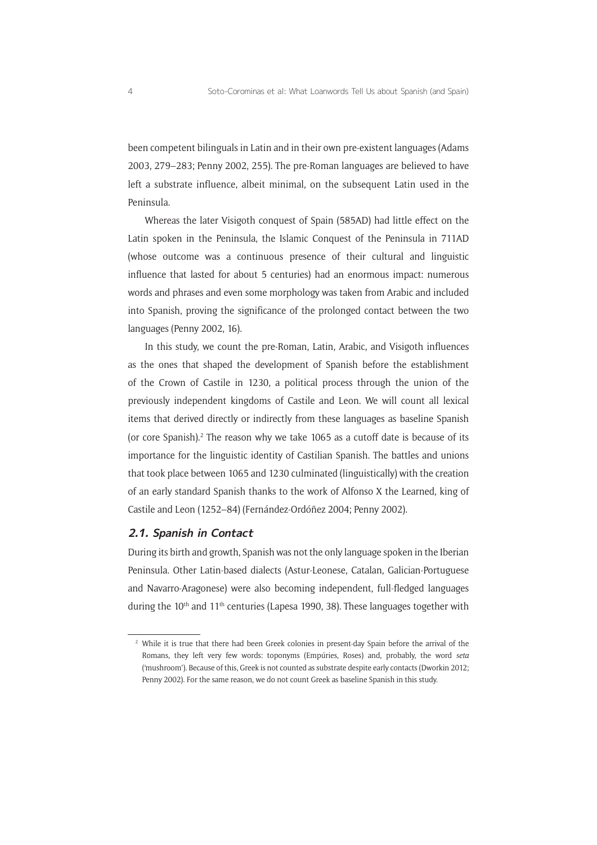been competent bilinguals in Latin and in their own pre-existent languages (Adams 2003, 279–283; Penny 2002, 255). The pre-Roman languages are believed to have left a substrate influence, albeit minimal, on the subsequent Latin used in the Peninsula.

Whereas the later Visigoth conquest of Spain (585AD) had little effect on the Latin spoken in the Peninsula, the Islamic Conquest of the Peninsula in 711AD (whose outcome was a continuous presence of their cultural and linguistic influence that lasted for about 5 centuries) had an enormous impact: numerous words and phrases and even some morphology was taken from Arabic and included into Spanish, proving the significance of the prolonged contact between the two languages (Penny 2002, 16).

In this study, we count the pre-Roman, Latin, Arabic, and Visigoth influences as the ones that shaped the development of Spanish before the establishment of the Crown of Castile in 1230, a political process through the union of the previously independent kingdoms of Castile and Leon. We will count all lexical items that derived directly or indirectly from these languages as baseline Spanish (or core Spanish).<sup>2</sup> The reason why we take  $1065$  as a cutoff date is because of its importance for the linguistic identity of Castilian Spanish. The battles and unions that took place between 1065 and 1230 culminated (linguistically) with the creation of an early standard Spanish thanks to the work of Alfonso X the Learned, king of Castile and Leon (1252–84) (Fernández-Ordóñez 2004; Penny 2002).

#### **2.1. Spanish in Contact**

During its birth and growth, Spanish was not the only language spoken in the Iberian Peninsula. Other Latin-based dialects (Astur-Leonese, Catalan, Galician-Portuguese and Navarro-Aragonese) were also becoming independent, full-fledged languages during the  $10<sup>th</sup>$  and  $11<sup>th</sup>$  centuries (Lapesa 1990, 38). These languages together with

<sup>&</sup>lt;sup>2</sup> While it is true that there had been Greek colonies in present-day Spain before the arrival of the Romans, they left very few words: toponyms (Empúries, Roses) and, probably, the word *seta*  ('mushroom'). Because of this, Greek is not counted as substrate despite early contacts (Dworkin 2012; Penny 2002). For the same reason, we do not count Greek as baseline Spanish in this study.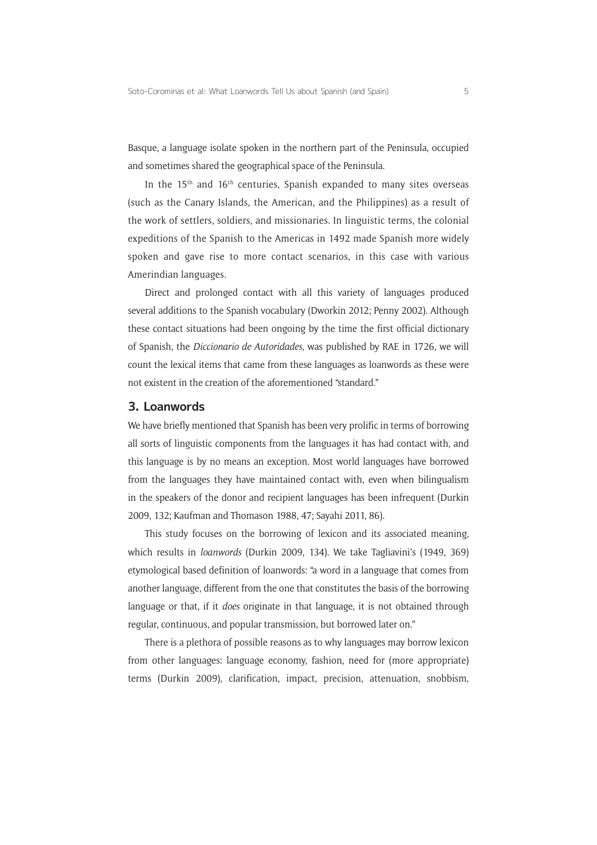Basque, a language isolate spoken in the northern part of the Peninsula, occupied and sometimes shared the geographical space of the Peninsula.

In the 15<sup>th</sup> and 16<sup>th</sup> centuries, Spanish expanded to many sites overseas (such as the Canary Islands, the American, and the Philippines) as a result of the work of settlers, soldiers, and missionaries. In linguistic terms, the colonial expeditions of the Spanish to the Americas in 1492 made Spanish more widely spoken and gave rise to more contact scenarios, in this case with various Amerindian languages.

Direct and prolonged contact with all this variety of languages produced several additions to the Spanish vocabulary (Dworkin 2012; Penny 2002). Although these contact situations had been ongoing by the time the first official dictionary of Spanish, the *Diccionario de Autoridades*, was published by RAE in 1726, we will count the lexical items that came from these languages as loanwords as these were not existent in the creation of the aforementioned "standard."

#### **3. Loanwords**

We have briefly mentioned that Spanish has been very prolific in terms of borrowing all sorts of linguistic components from the languages it has had contact with, and this language is by no means an exception. Most world languages have borrowed from the languages they have maintained contact with, even when bilingualism in the speakers of the donor and recipient languages has been infrequent (Durkin 2009, 132; Kaufman and Thomason 1988, 47; Sayahi 2011, 86).

This study focuses on the borrowing of lexicon and its associated meaning, which results in *loanwords* (Durkin 2009, 134). We take Tagliavini's (1949, 369) etymological based definition of loanwords: "a word in a language that comes from another language, different from the one that constitutes the basis of the borrowing language or that, if it *does* originate in that language, it is not obtained through regular, continuous, and popular transmission, but borrowed later on."

There is a plethora of possible reasons as to why languages may borrow lexicon from other languages: language economy, fashion, need for (more appropriate) terms (Durkin 2009), clarification, impact, precision, attenuation, snobbism,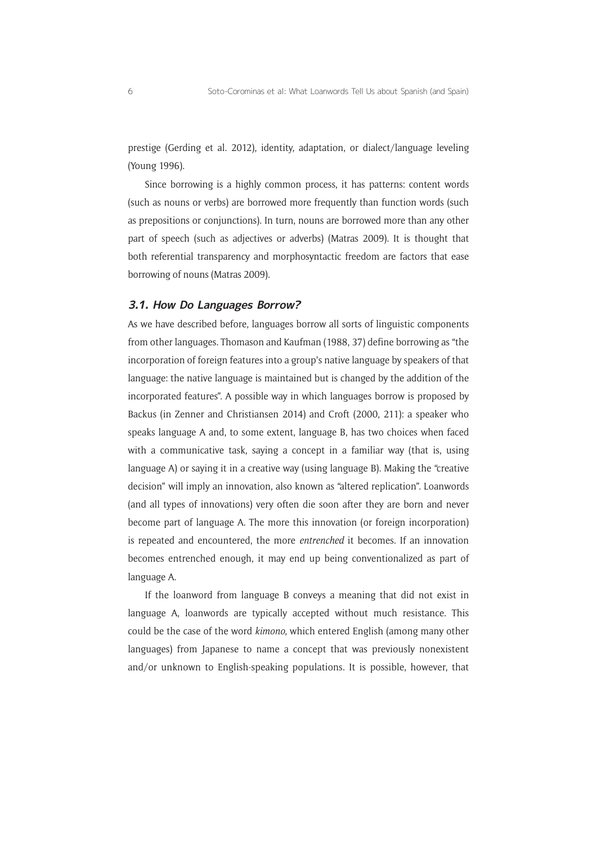prestige (Gerding et al. 2012), identity, adaptation, or dialect/language leveling (Young 1996).

Since borrowing is a highly common process, it has patterns: content words (such as nouns or verbs) are borrowed more frequently than function words (such as prepositions or conjunctions). In turn, nouns are borrowed more than any other part of speech (such as adjectives or adverbs) (Matras 2009). It is thought that both referential transparency and morphosyntactic freedom are factors that ease borrowing of nouns (Matras 2009).

#### **3.1. How Do Languages Borrow?**

As we have described before, languages borrow all sorts of linguistic components from other languages. Thomason and Kaufman (1988, 37) define borrowing as "the incorporation of foreign features into a group's native language by speakers of that language: the native language is maintained but is changed by the addition of the incorporated features". A possible way in which languages borrow is proposed by Backus (in Zenner and Christiansen 2014) and Croft (2000, 211): a speaker who speaks language A and, to some extent, language B, has two choices when faced with a communicative task, saying a concept in a familiar way (that is, using language A) or saying it in a creative way (using language B). Making the "creative decision" will imply an innovation, also known as "altered replication". Loanwords (and all types of innovations) very often die soon after they are born and never become part of language A. The more this innovation (or foreign incorporation) is repeated and encountered, the more *entrenched* it becomes. If an innovation becomes entrenched enough, it may end up being conventionalized as part of language A.

If the loanword from language B conveys a meaning that did not exist in language A, loanwords are typically accepted without much resistance. This could be the case of the word *kimono*, which entered English (among many other languages) from Japanese to name a concept that was previously nonexistent and/or unknown to English-speaking populations. It is possible, however, that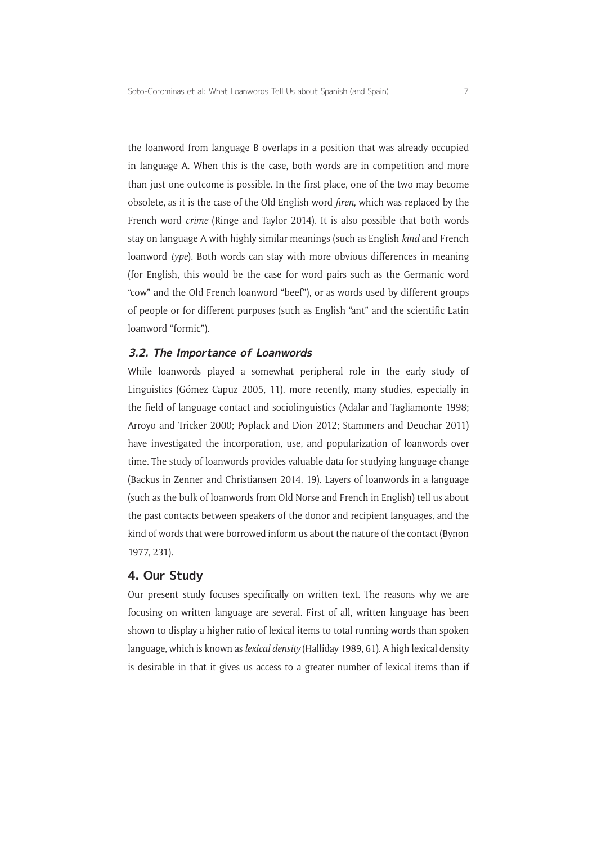the loanword from language B overlaps in a position that was already occupied in language A. When this is the case, both words are in competition and more than just one outcome is possible. In the first place, one of the two may become obsolete, as it is the case of the Old English word *firen*, which was replaced by the French word *crime* (Ringe and Taylor 2014). It is also possible that both words stay on language A with highly similar meanings (such as English *kind* and French loanword *type*). Both words can stay with more obvious differences in meaning (for English, this would be the case for word pairs such as the Germanic word "cow" and the Old French loanword "beef"), or as words used by different groups of people or for different purposes (such as English "ant" and the scientific Latin loanword "formic").

#### **3.2. The Importance of Loanwords**

While loanwords played a somewhat peripheral role in the early study of Linguistics (Gómez Capuz 2005, 11), more recently, many studies, especially in the field of language contact and sociolinguistics (Adalar and Tagliamonte 1998; Arroyo and Tricker 2000; Poplack and Dion 2012; Stammers and Deuchar 2011) have investigated the incorporation, use, and popularization of loanwords over time. The study of loanwords provides valuable data for studying language change (Backus in Zenner and Christiansen 2014, 19). Layers of loanwords in a language (such as the bulk of loanwords from Old Norse and French in English) tell us about the past contacts between speakers of the donor and recipient languages, and the kind of words that were borrowed inform us about the nature of the contact (Bynon 1977, 231).

#### **4. Our Study**

Our present study focuses specifically on written text. The reasons why we are focusing on written language are several. First of all, written language has been shown to display a higher ratio of lexical items to total running words than spoken language, which is known as *lexical density* (Halliday 1989, 61). A high lexical density is desirable in that it gives us access to a greater number of lexical items than if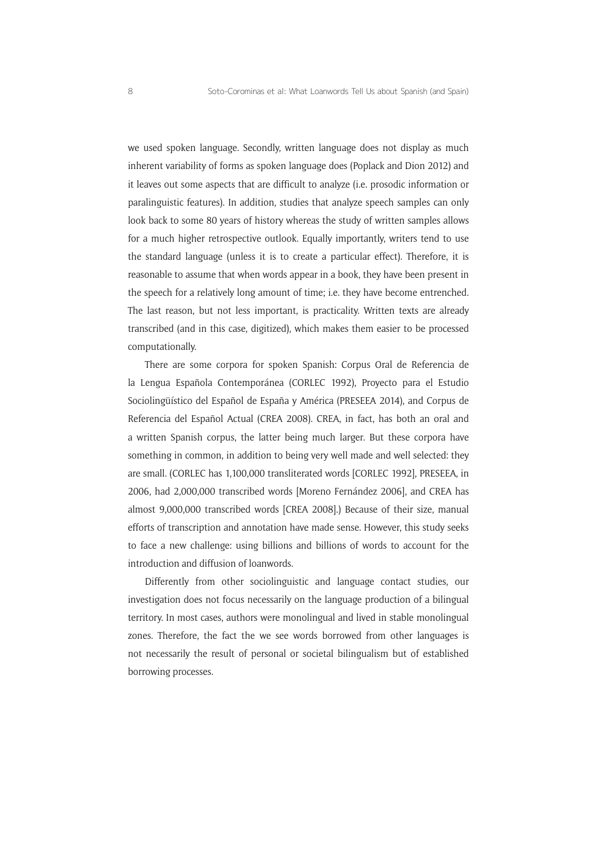we used spoken language. Secondly, written language does not display as much inherent variability of forms as spoken language does (Poplack and Dion 2012) and it leaves out some aspects that are difficult to analyze (i.e. prosodic information or paralinguistic features). In addition, studies that analyze speech samples can only look back to some 80 years of history whereas the study of written samples allows for a much higher retrospective outlook. Equally importantly, writers tend to use the standard language (unless it is to create a particular effect). Therefore, it is reasonable to assume that when words appear in a book, they have been present in the speech for a relatively long amount of time; i.e. they have become entrenched. The last reason, but not less important, is practicality. Written texts are already transcribed (and in this case, digitized), which makes them easier to be processed computationally.

There are some corpora for spoken Spanish: Corpus Oral de Referencia de la Lengua Española Contemporánea (CORLEC 1992), Proyecto para el Estudio Sociolingüístico del Español de España y América (PRESEEA 2014), and Corpus de Referencia del Español Actual (CREA 2008). CREA, in fact, has both an oral and a written Spanish corpus, the latter being much larger. But these corpora have something in common, in addition to being very well made and well selected: they are small. (CORLEC has 1,100,000 transliterated words [CORLEC 1992], PRESEEA, in 2006, had 2,000,000 transcribed words [Moreno Fernández 2006], and CREA has almost 9,000,000 transcribed words [CREA 2008].) Because of their size, manual efforts of transcription and annotation have made sense. However, this study seeks to face a new challenge: using billions and billions of words to account for the introduction and diffusion of loanwords.

Differently from other sociolinguistic and language contact studies, our investigation does not focus necessarily on the language production of a bilingual territory. In most cases, authors were monolingual and lived in stable monolingual zones. Therefore, the fact the we see words borrowed from other languages is not necessarily the result of personal or societal bilingualism but of established borrowing processes.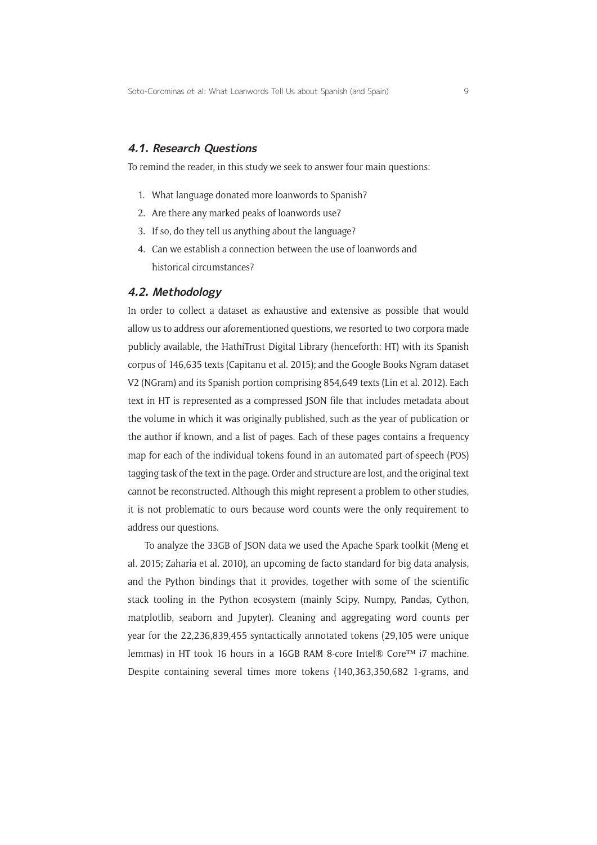#### **4.1. Research Questions**

To remind the reader, in this study we seek to answer four main questions:

- 1. What language donated more loanwords to Spanish?
- 2. Are there any marked peaks of loanwords use?
- 3. If so, do they tell us anything about the language?
- 4. Can we establish a connection between the use of loanwords and historical circumstances?

#### **4.2. Methodology**

In order to collect a dataset as exhaustive and extensive as possible that would allow us to address our aforementioned questions, we resorted to two corpora made publicly available, the HathiTrust Digital Library (henceforth: HT) with its Spanish corpus of 146,635 texts (Capitanu et al. 2015); and the Google Books Ngram dataset V2 (NGram) and its Spanish portion comprising 854,649 texts (Lin et al. 2012). Each text in HT is represented as a compressed JSON file that includes metadata about the volume in which it was originally published, such as the year of publication or the author if known, and a list of pages. Each of these pages contains a frequency map for each of the individual tokens found in an automated part-of-speech (POS) tagging task of the text in the page. Order and structure are lost, and the original text cannot be reconstructed. Although this might represent a problem to other studies, it is not problematic to ours because word counts were the only requirement to address our questions.

To analyze the 33GB of JSON data we used the Apache Spark toolkit (Meng et al. 2015; Zaharia et al. 2010), an upcoming de facto standard for big data analysis, and the Python bindings that it provides, together with some of the scientific stack tooling in the Python ecosystem (mainly Scipy, Numpy, Pandas, Cython, matplotlib, seaborn and Jupyter). Cleaning and aggregating word counts per year for the 22,236,839,455 syntactically annotated tokens (29,105 were unique lemmas) in HT took 16 hours in a 16GB RAM 8-core Intel® Core™ i7 machine. Despite containing several times more tokens (140,363,350,682 1-grams, and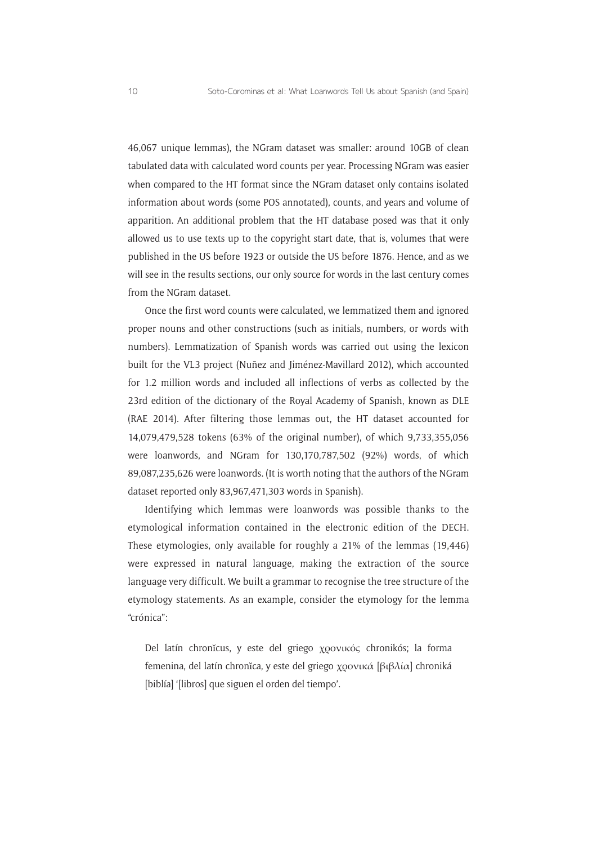46,067 unique lemmas), the NGram dataset was smaller: around 10GB of clean tabulated data with calculated word counts per year. Processing NGram was easier when compared to the HT format since the NGram dataset only contains isolated information about words (some POS annotated), counts, and years and volume of apparition. An additional problem that the HT database posed was that it only allowed us to use texts up to the copyright start date, that is, volumes that were published in the US before 1923 or outside the US before 1876. Hence, and as we will see in the results sections, our only source for words in the last century comes from the NGram dataset.

Once the first word counts were calculated, we lemmatized them and ignored proper nouns and other constructions (such as initials, numbers, or words with numbers). Lemmatization of Spanish words was carried out using the lexicon built for the VL3 project (Nuñez and Jiménez-Mavillard 2012), which accounted for 1.2 million words and included all inflections of verbs as collected by the 23rd edition of the dictionary of the Royal Academy of Spanish, known as DLE (RAE 2014). After filtering those lemmas out, the HT dataset accounted for 14,079,479,528 tokens (63% of the original number), of which 9,733,355,056 were loanwords, and NGram for 130,170,787,502 (92%) words, of which 89,087,235,626 were loanwords. (It is worth noting that the authors of the NGram dataset reported only 83,967,471,303 words in Spanish).

Identifying which lemmas were loanwords was possible thanks to the etymological information contained in the electronic edition of the DECH. These etymologies, only available for roughly a 21% of the lemmas (19,446) were expressed in natural language, making the extraction of the source language very difficult. We built a grammar to recognise the tree structure of the etymology statements. As an example, consider the etymology for the lemma "crónica":

Del latín chronĭcus, y este del griego χρονικός chronikós; la forma femenina, del latín chronĭca, y este del griego χρονικά [βιβλία] chroniká [biblía] '[libros] que siguen el orden del tiempo'.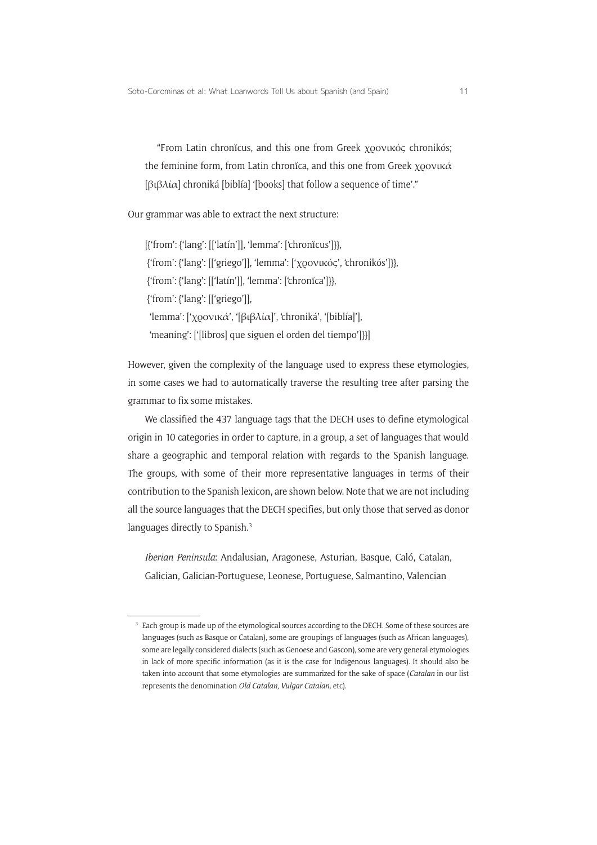"From Latin chronĭcus, and this one from Greek χρονικός chronikós; the feminine form, from Latin chronĭca, and this one from Greek χρονικά [βιβλία] chroniká [biblía] '[books] that follow a sequence of time'."

Our grammar was able to extract the next structure:

[{'from': {'lang': [['latín']], 'lemma': ['chronĭcus']}}, {'from': {'lang': [['griego']], 'lemma': ['χρονικός', 'chronikós']}}, {'from': {'lang': [['latín']], 'lemma': ['chronĭca']}}, {'from': {'lang': [['griego']], 'lemma': ['χρονικά', '[βιβλία]', 'chroniká', '[biblía]'], 'meaning': ['[libros] que siguen el orden del tiempo']}}]

However, given the complexity of the language used to express these etymologies, in some cases we had to automatically traverse the resulting tree after parsing the grammar to fix some mistakes.

We classified the 437 language tags that the DECH uses to define etymological origin in 10 categories in order to capture, in a group, a set of languages that would share a geographic and temporal relation with regards to the Spanish language. The groups, with some of their more representative languages in terms of their contribution to the Spanish lexicon, are shown below. Note that we are not including all the source languages that the DECH specifies, but only those that served as donor languages directly to Spanish.<sup>3</sup>

*Iberian Peninsula*: Andalusian, Aragonese, Asturian, Basque, Caló, Catalan, Galician, Galician-Portuguese, Leonese, Portuguese, Salmantino, Valencian

<sup>&</sup>lt;sup>3</sup> Each group is made up of the etymological sources according to the DECH. Some of these sources are languages (such as Basque or Catalan), some are groupings of languages (such as African languages), some are legally considered dialects (such as Genoese and Gascon), some are very general etymologies in lack of more specific information (as it is the case for Indigenous languages). It should also be taken into account that some etymologies are summarized for the sake of space (*Catalan* in our list represents the denomination *Old Catalan, Vulgar Catalan,* etc).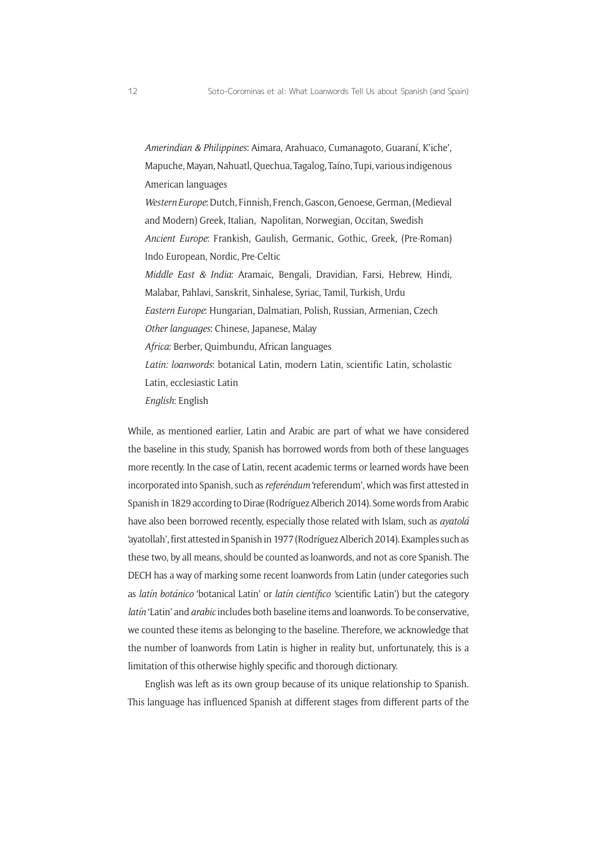*Amerindian & Philippines*: Aimara, Arahuaco, Cumanagoto, Guaraní, K'iche', Mapuche, Mayan, Nahuatl, Quechua, Tagalog, Taíno, Tupi, various indigenous American languages *Western Europe*: Dutch, Finnish, French, Gascon, Genoese, German, (Medieval and Modern) Greek, Italian, Napolitan, Norwegian, Occitan, Swedish *Ancient Europe*: Frankish, Gaulish, Germanic, Gothic, Greek, (Pre-Roman) Indo European, Nordic, Pre-Celtic *Middle East & India*: Aramaic, Bengali, Dravidian, Farsi, Hebrew, Hindi, Malabar, Pahlavi, Sanskrit, Sinhalese, Syriac, Tamil, Turkish, Urdu *Eastern Europe*: Hungarian, Dalmatian, Polish, Russian, Armenian, Czech *Other languages*: Chinese, Japanese, Malay *Africa*: Berber, Quimbundu, African languages *Latin: loanwords*: botanical Latin, modern Latin, scientific Latin, scholastic Latin, ecclesiastic Latin *English*: English

While, as mentioned earlier, Latin and Arabic are part of what we have considered the baseline in this study, Spanish has borrowed words from both of these languages more recently. In the case of Latin, recent academic terms or learned words have been incorporated into Spanish, such as *referéndum* 'referendum', which was first attested in Spanish in 1829 according to Dirae (Rodríguez Alberich 2014). Some words from Arabic have also been borrowed recently, especially those related with Islam, such as *ayatolá* 'ayatollah', first attested in Spanish in 1977 (Rodríguez Alberich 2014). Examples such as these two, by all means, should be counted as loanwords, and not as core Spanish. The DECH has a way of marking some recent loanwords from Latin (under categories such as *latín botánico* 'botanical Latin' or *latín científico '*scientific Latin') but the category *latín* 'Latin' and *arabic* includes both baseline items and loanwords. To be conservative, we counted these items as belonging to the baseline. Therefore, we acknowledge that the number of loanwords from Latin is higher in reality but, unfortunately, this is a limitation of this otherwise highly specific and thorough dictionary.

English was left as its own group because of its unique relationship to Spanish. This language has influenced Spanish at different stages from different parts of the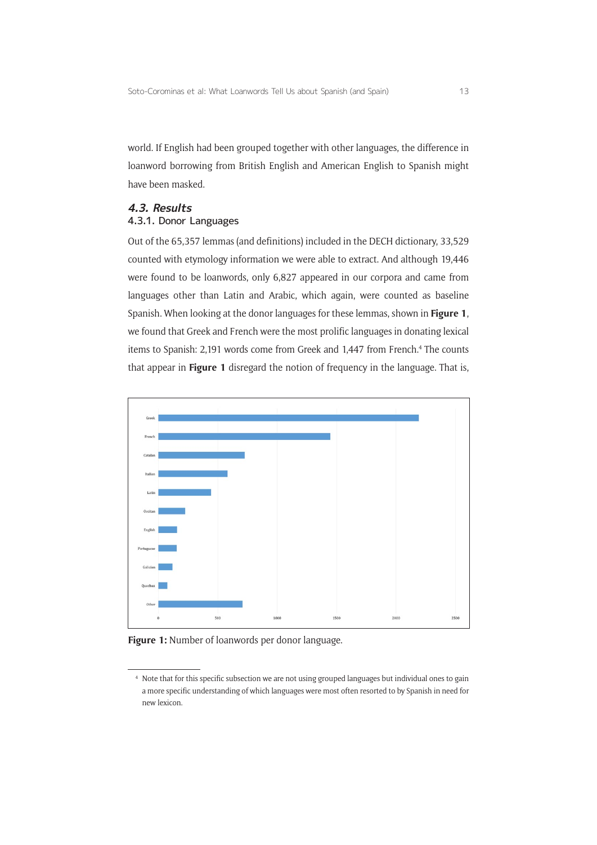world. If English had been grouped together with other languages, the difference in loanword borrowing from British English and American English to Spanish might have been masked.

#### **4.3. Results**

#### 4.3.1. Donor Languages

Out of the 65,357 lemmas (and definitions) included in the DECH dictionary, 33,529 counted with etymology information we were able to extract. And although 19,446 were found to be loanwords, only 6,827 appeared in our corpora and came from languages other than Latin and Arabic, which again, were counted as baseline Spanish. When looking at the donor languages for these lemmas, shown in **Figure 1**, we found that Greek and French were the most prolific languages in donating lexical items to Spanish: 2,191 words come from Greek and 1,447 from French.<sup>4</sup> The counts that appear in **Figure 1** disregard the notion of frequency in the language. That is,



**Figure 1:** Number of loanwords per donor language.

<sup>4</sup> Note that for this specific subsection we are not using grouped languages but individual ones to gain a more specific understanding of which languages were most often resorted to by Spanish in need for new lexicon.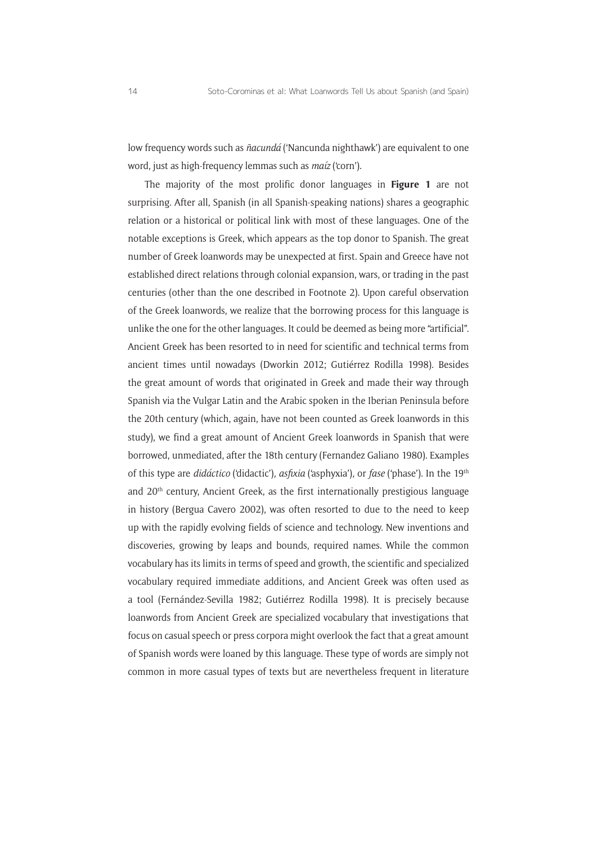low frequency words such as *ñacundá* ('Nancunda nighthawk') are equivalent to one word, just as high-frequency lemmas such as *maíz* ('corn').

The majority of the most prolific donor languages in **Figure 1** are not surprising. After all, Spanish (in all Spanish-speaking nations) shares a geographic relation or a historical or political link with most of these languages. One of the notable exceptions is Greek, which appears as the top donor to Spanish. The great number of Greek loanwords may be unexpected at first. Spain and Greece have not established direct relations through colonial expansion, wars, or trading in the past centuries (other than the one described in Footnote 2). Upon careful observation of the Greek loanwords, we realize that the borrowing process for this language is unlike the one for the other languages. It could be deemed as being more "artificial". Ancient Greek has been resorted to in need for scientific and technical terms from ancient times until nowadays (Dworkin 2012; Gutiérrez Rodilla 1998). Besides the great amount of words that originated in Greek and made their way through Spanish via the Vulgar Latin and the Arabic spoken in the Iberian Peninsula before the 20th century (which, again, have not been counted as Greek loanwords in this study), we find a great amount of Ancient Greek loanwords in Spanish that were borrowed, unmediated, after the 18th century (Fernandez Galiano 1980). Examples of this type are *didáctico* ('didactic')*, asfixia* ('asphyxia')*,* or *fase* ('phase'). In the 19th and 20<sup>th</sup> century, Ancient Greek, as the first internationally prestigious language in history (Bergua Cavero 2002), was often resorted to due to the need to keep up with the rapidly evolving fields of science and technology. New inventions and discoveries, growing by leaps and bounds, required names. While the common vocabulary has its limits in terms of speed and growth, the scientific and specialized vocabulary required immediate additions, and Ancient Greek was often used as a tool (Fernández-Sevilla 1982; Gutiérrez Rodilla 1998). It is precisely because loanwords from Ancient Greek are specialized vocabulary that investigations that focus on casual speech or press corpora might overlook the fact that a great amount of Spanish words were loaned by this language. These type of words are simply not common in more casual types of texts but are nevertheless frequent in literature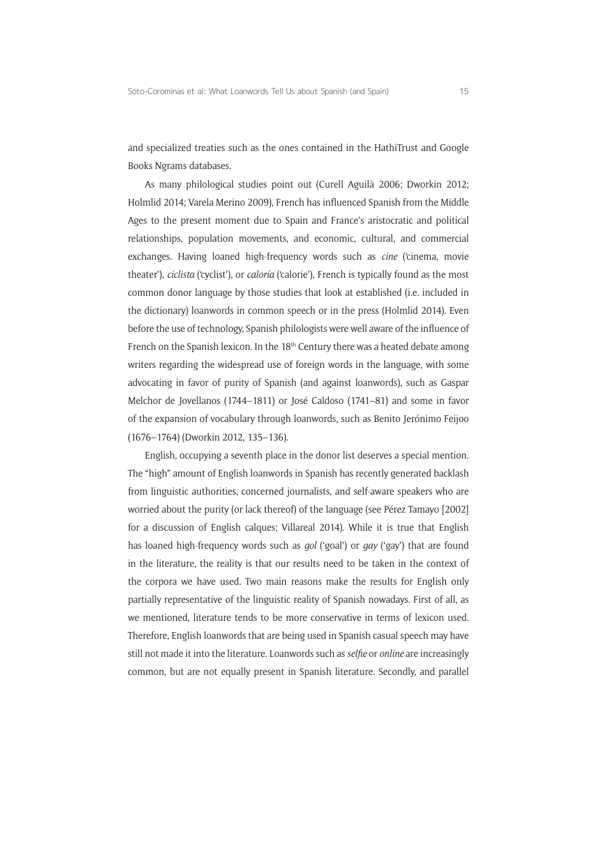and specialized treaties such as the ones contained in the HathiTrust and Google Books Ngrams databases.

As many philological studies point out (Curell Aguilà 2006; Dworkin 2012; Holmlid 2014; Varela Merino 2009), French has influenced Spanish from the Middle Ages to the present moment due to Spain and France's aristocratic and political relationships, population movements, and economic, cultural, and commercial exchanges. Having loaned high-frequency words such as *cine* ('cinema, movie theater'), *ciclista* ('cyclist'), or *caloría* ('calorie'), French is typically found as the most common donor language by those studies that look at established (i.e. included in the dictionary) loanwords in common speech or in the press (Holmlid 2014). Even before the use of technology, Spanish philologists were well aware of the influence of French on the Spanish lexicon. In the 18<sup>th</sup> Century there was a heated debate among writers regarding the widespread use of foreign words in the language, with some advocating in favor of purity of Spanish (and against loanwords), such as Gaspar Melchor de Jovellanos (1744–1811) or José Caldoso (1741–81) and some in favor of the expansion of vocabulary through loanwords, such as Benito Jerónimo Feijoo (1676–1764) (Dworkin 2012, 135–136).

English, occupying a seventh place in the donor list deserves a special mention. The "high" amount of English loanwords in Spanish has recently generated backlash from linguistic authorities, concerned journalists, and self-aware speakers who are worried about the purity (or lack thereof) of the language (see Pérez Tamayo [2002] for a discussion of English calques; Villareal 2014). While it is true that English has loaned high-frequency words such as *gol* ('goal') or *gay* ('gay') that are found in the literature, the reality is that our results need to be taken in the context of the corpora we have used. Two main reasons make the results for English only partially representative of the linguistic reality of Spanish nowadays. First of all, as we mentioned, literature tends to be more conservative in terms of lexicon used. Therefore, English loanwords that are being used in Spanish casual speech may have still not made it into the literature. Loanwords such as *selfie* or *online* are increasingly common, but are not equally present in Spanish literature. Secondly, and parallel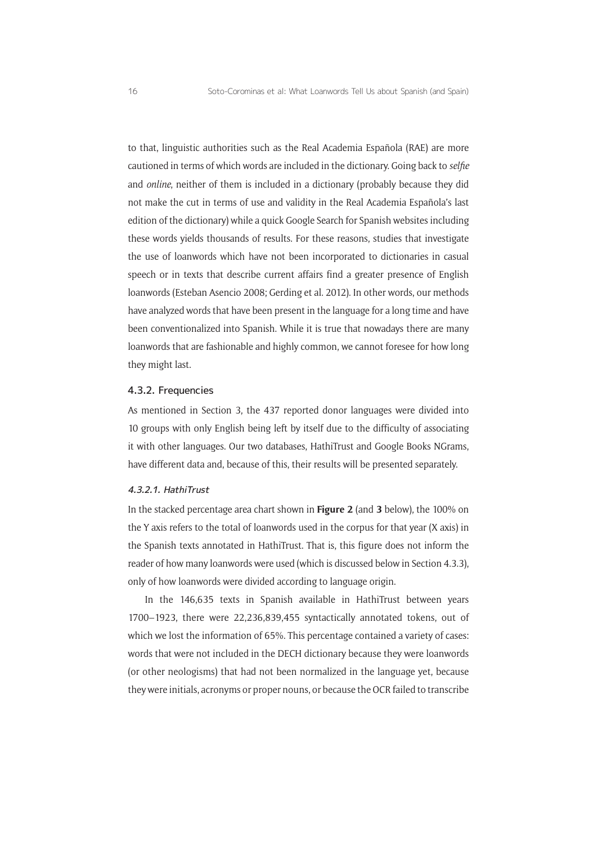to that, linguistic authorities such as the Real Academia Española (RAE) are more cautioned in terms of which words are included in the dictionary. Going back to *selfie* and *online*, neither of them is included in a dictionary (probably because they did not make the cut in terms of use and validity in the Real Academia Española's last edition of the dictionary) while a quick Google Search for Spanish websites including these words yields thousands of results. For these reasons, studies that investigate the use of loanwords which have not been incorporated to dictionaries in casual speech or in texts that describe current affairs find a greater presence of English loanwords (Esteban Asencio 2008; Gerding et al. 2012). In other words, our methods have analyzed words that have been present in the language for a long time and have been conventionalized into Spanish. While it is true that nowadays there are many loanwords that are fashionable and highly common, we cannot foresee for how long they might last.

#### 4.3.2. Frequencies

As mentioned in Section 3, the 437 reported donor languages were divided into 10 groups with only English being left by itself due to the difficulty of associating it with other languages. Our two databases, HathiTrust and Google Books NGrams, have different data and, because of this, their results will be presented separately.

#### 4.3.2.1. HathiTrust

In the stacked percentage area chart shown in **Figure 2** (and **3** below), the 100% on the Y axis refers to the total of loanwords used in the corpus for that year (X axis) in the Spanish texts annotated in HathiTrust. That is, this figure does not inform the reader of how many loanwords were used (which is discussed below in Section 4.3.3), only of how loanwords were divided according to language origin.

In the 146,635 texts in Spanish available in HathiTrust between years 1700–1923, there were 22,236,839,455 syntactically annotated tokens, out of which we lost the information of 65%. This percentage contained a variety of cases: words that were not included in the DECH dictionary because they were loanwords (or other neologisms) that had not been normalized in the language yet, because they were initials, acronyms or proper nouns, or because the OCR failed to transcribe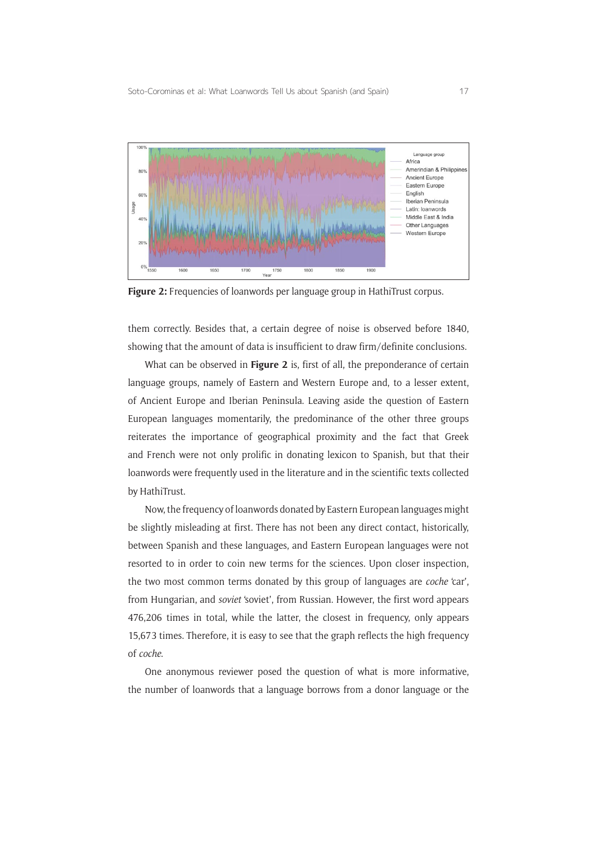

Figure 2: Frequencies of loanwords per language group in HathiTrust corpus.

them correctly. Besides that, a certain degree of noise is observed before 1840, showing that the amount of data is insufficient to draw firm/definite conclusions.

What can be observed in **Figure 2** is, first of all, the preponderance of certain language groups, namely of Eastern and Western Europe and, to a lesser extent, of Ancient Europe and Iberian Peninsula. Leaving aside the question of Eastern European languages momentarily, the predominance of the other three groups reiterates the importance of geographical proximity and the fact that Greek and French were not only prolific in donating lexicon to Spanish, but that their loanwords were frequently used in the literature and in the scientific texts collected by HathiTrust.

Now, the frequency of loanwords donated by Eastern European languages might be slightly misleading at first. There has not been any direct contact, historically, between Spanish and these languages, and Eastern European languages were not resorted to in order to coin new terms for the sciences. Upon closer inspection, the two most common terms donated by this group of languages are *coche* 'car', from Hungarian, and *soviet* 'soviet', from Russian. However, the first word appears 476,206 times in total, while the latter, the closest in frequency, only appears 15,673 times. Therefore, it is easy to see that the graph reflects the high frequency of *coche*.

One anonymous reviewer posed the question of what is more informative, the number of loanwords that a language borrows from a donor language or the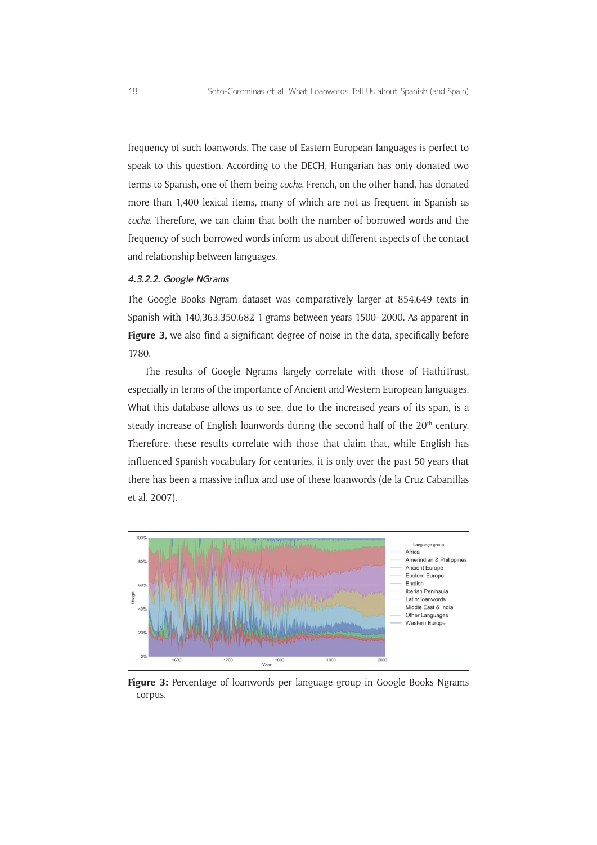frequency of such loanwords. The case of Eastern European languages is perfect to speak to this question. According to the DECH, Hungarian has only donated two terms to Spanish, one of them being *coche*. French, on the other hand, has donated more than 1,400 lexical items, many of which are not as frequent in Spanish as *coche*. Therefore, we can claim that both the number of borrowed words and the frequency of such borrowed words inform us about different aspects of the contact and relationship between languages.

#### 4.3.2.2. Google NGrams

The Google Books Ngram dataset was comparatively larger at 854,649 texts in Spanish with 140,363,350,682 1-grams between years 1500–2000. As apparent in Figure 3, we also find a significant degree of noise in the data, specifically before 1780.

The results of Google Ngrams largely correlate with those of HathiTrust, especially in terms of the importance of Ancient and Western European languages. What this database allows us to see, due to the increased years of its span, is a steady increase of English loanwords during the second half of the 20<sup>th</sup> century. Therefore, these results correlate with those that claim that, while English has influenced Spanish vocabulary for centuries, it is only over the past 50 years that there has been a massive influx and use of these loanwords (de la Cruz Cabanillas et al. 2007).



**Figure 3:** Percentage of loanwords per language group in Google Books Ngrams corpus.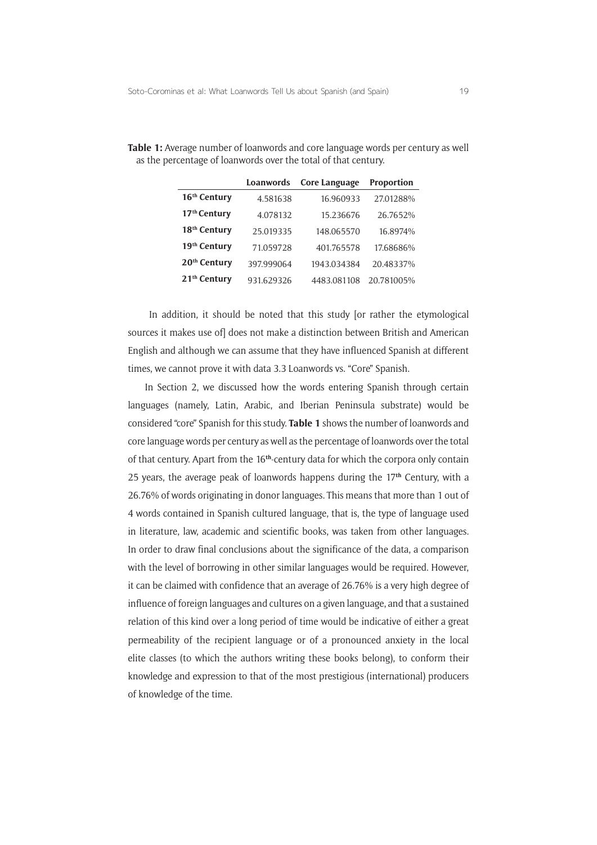|                          | Loanwords  | Core Language | <b>Proportion</b> |
|--------------------------|------------|---------------|-------------------|
| 16 <sup>th</sup> Century | 4.581638   | 16.960933     | 27.01288%         |
| 17 <sup>th</sup> Century | 4.078132   | 15.236676     | 26.7652%          |
| 18 <sup>th</sup> Century | 25.019335  | 148.065570    | 16.8974%          |
| 19 <sup>th</sup> Century | 71.059728  | 401.765578    | 17.68686%         |
| 20 <sup>th</sup> Century | 397.999064 | 1943.034384   | 20.48337%         |
| 21 <sup>th</sup> Century | 931.629326 | 4483.081108   | 20.781005%        |

**Table 1:** Average number of loanwords and core language words per century as well as the percentage of loanwords over the total of that century.

 In addition, it should be noted that this study [or rather the etymological sources it makes use of] does not make a distinction between British and American English and although we can assume that they have influenced Spanish at different times, we cannot prove it with data 3.3 Loanwords vs. "Core" Spanish.

In Section 2, we discussed how the words entering Spanish through certain languages (namely, Latin, Arabic, and Iberian Peninsula substrate) would be considered "core" Spanish for this study. **Table 1** shows the number of loanwords and core language words per century as well as the percentage of loanwords over the total of that century. Apart from the 16**th**-century data for which the corpora only contain 25 years, the average peak of loanwords happens during the 17**th** Century, with a 26.76% of words originating in donor languages. This means that more than 1 out of 4 words contained in Spanish cultured language, that is, the type of language used in literature, law, academic and scientific books, was taken from other languages. In order to draw final conclusions about the significance of the data, a comparison with the level of borrowing in other similar languages would be required. However, it can be claimed with confidence that an average of 26.76% is a very high degree of influence of foreign languages and cultures on a given language, and that a sustained relation of this kind over a long period of time would be indicative of either a great permeability of the recipient language or of a pronounced anxiety in the local elite classes (to which the authors writing these books belong), to conform their knowledge and expression to that of the most prestigious (international) producers of knowledge of the time.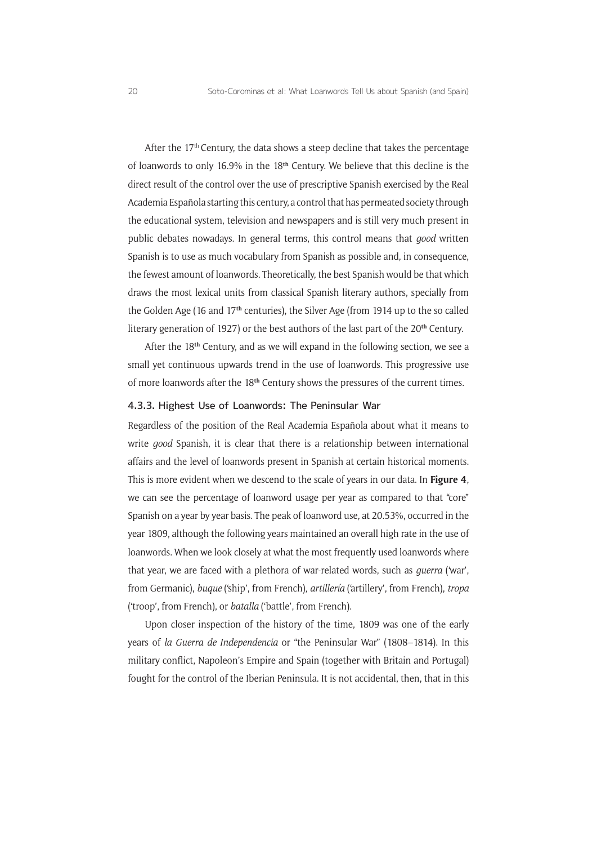After the 17<sup>th</sup> Century, the data shows a steep decline that takes the percentage of loanwords to only 16.9% in the 18**th** Century. We believe that this decline is the direct result of the control over the use of prescriptive Spanish exercised by the Real Academia Española starting this century, a control that has permeated society through the educational system, television and newspapers and is still very much present in public debates nowadays. In general terms, this control means that *good* written Spanish is to use as much vocabulary from Spanish as possible and, in consequence, the fewest amount of loanwords. Theoretically, the best Spanish would be that which draws the most lexical units from classical Spanish literary authors, specially from the Golden Age (16 and 17**th** centuries), the Silver Age (from 1914 up to the so called literary generation of 1927) or the best authors of the last part of the 20**th** Century.

After the 18**th** Century, and as we will expand in the following section, we see a small yet continuous upwards trend in the use of loanwords. This progressive use of more loanwords after the 18**th** Century shows the pressures of the current times.

#### 4.3.3. Highest Use of Loanwords: The Peninsular War

Regardless of the position of the Real Academia Española about what it means to write *good* Spanish, it is clear that there is a relationship between international affairs and the level of loanwords present in Spanish at certain historical moments. This is more evident when we descend to the scale of years in our data. In **Figure 4**, we can see the percentage of loanword usage per year as compared to that "core" Spanish on a year by year basis. The peak of loanword use, at 20.53%, occurred in the year 1809, although the following years maintained an overall high rate in the use of loanwords. When we look closely at what the most frequently used loanwords where that year, we are faced with a plethora of war-related words, such as *guerra* ('war', from Germanic), *buque* ('ship', from French)*, artillería* ('artillery', from French), *tropa* ('troop', from French), or *batalla* ('battle', from French).

Upon closer inspection of the history of the time, 1809 was one of the early years of *la Guerra de Independencia* or "the Peninsular War" (1808–1814). In this military conflict, Napoleon's Empire and Spain (together with Britain and Portugal) fought for the control of the Iberian Peninsula. It is not accidental, then, that in this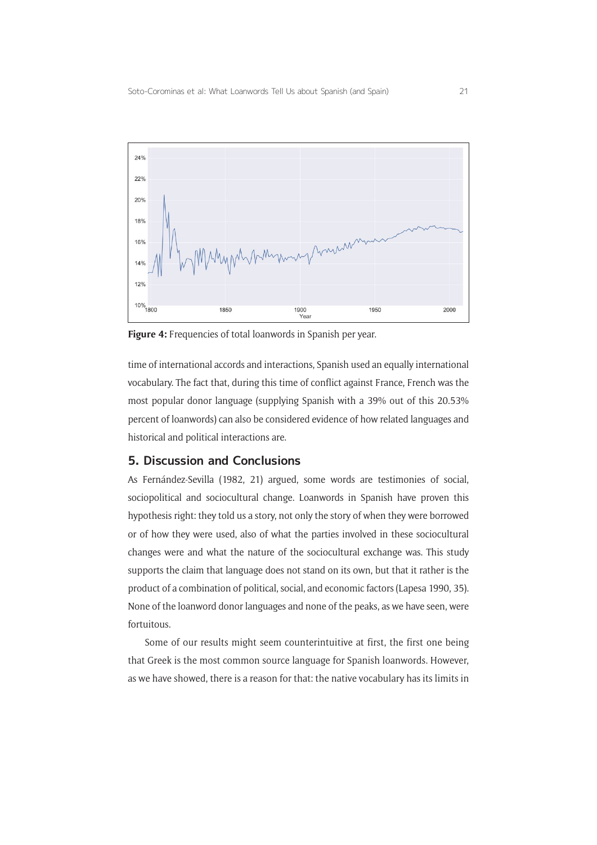

**Figure 4:** Frequencies of total loanwords in Spanish per year.

time of international accords and interactions, Spanish used an equally international vocabulary. The fact that, during this time of conflict against France, French was the most popular donor language (supplying Spanish with a 39% out of this 20.53% percent of loanwords) can also be considered evidence of how related languages and historical and political interactions are.

#### **5. Discussion and Conclusions**

As Fernández-Sevilla (1982, 21) argued, some words are testimonies of social, sociopolitical and sociocultural change. Loanwords in Spanish have proven this hypothesis right: they told us a story, not only the story of when they were borrowed or of how they were used, also of what the parties involved in these sociocultural changes were and what the nature of the sociocultural exchange was. This study supports the claim that language does not stand on its own, but that it rather is the product of a combination of political, social, and economic factors (Lapesa 1990, 35). None of the loanword donor languages and none of the peaks, as we have seen, were fortuitous.

Some of our results might seem counterintuitive at first, the first one being that Greek is the most common source language for Spanish loanwords. However, as we have showed, there is a reason for that: the native vocabulary has its limits in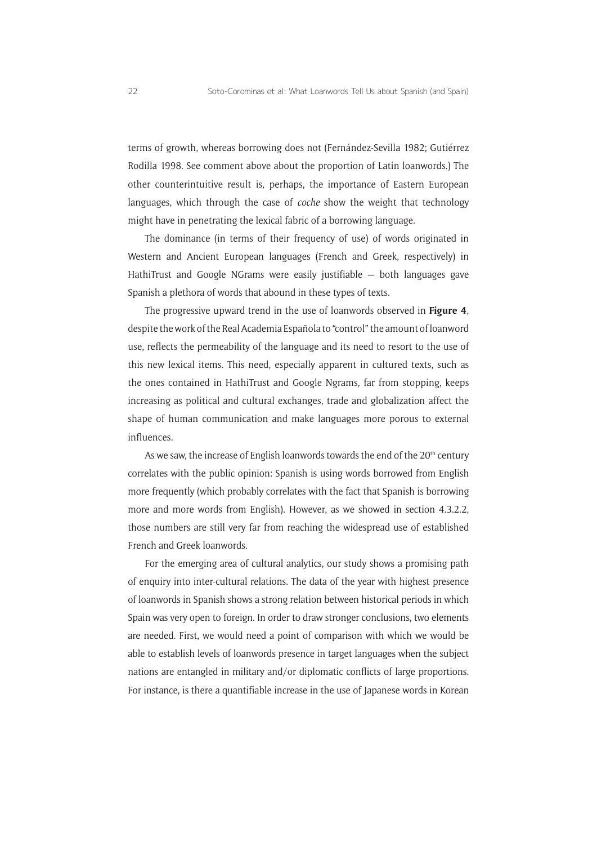terms of growth, whereas borrowing does not (Fernández-Sevilla 1982; Gutiérrez Rodilla 1998. See comment above about the proportion of Latin loanwords.) The other counterintuitive result is, perhaps, the importance of Eastern European languages, which through the case of *coche* show the weight that technology might have in penetrating the lexical fabric of a borrowing language.

The dominance (in terms of their frequency of use) of words originated in Western and Ancient European languages (French and Greek, respectively) in HathiTrust and Google NGrams were easily justifiable — both languages gave Spanish a plethora of words that abound in these types of texts.

The progressive upward trend in the use of loanwords observed in **Figure 4**, despite the work of the Real Academia Española to "control" the amount of loanword use, reflects the permeability of the language and its need to resort to the use of this new lexical items. This need, especially apparent in cultured texts, such as the ones contained in HathiTrust and Google Ngrams, far from stopping, keeps increasing as political and cultural exchanges, trade and globalization affect the shape of human communication and make languages more porous to external influences.

As we saw, the increase of English loanwords towards the end of the 20<sup>th</sup> century correlates with the public opinion: Spanish is using words borrowed from English more frequently (which probably correlates with the fact that Spanish is borrowing more and more words from English). However, as we showed in section 4.3.2.2, those numbers are still very far from reaching the widespread use of established French and Greek loanwords.

For the emerging area of cultural analytics, our study shows a promising path of enquiry into inter-cultural relations. The data of the year with highest presence of loanwords in Spanish shows a strong relation between historical periods in which Spain was very open to foreign. In order to draw stronger conclusions, two elements are needed. First, we would need a point of comparison with which we would be able to establish levels of loanwords presence in target languages when the subject nations are entangled in military and/or diplomatic conflicts of large proportions. For instance, is there a quantifiable increase in the use of Japanese words in Korean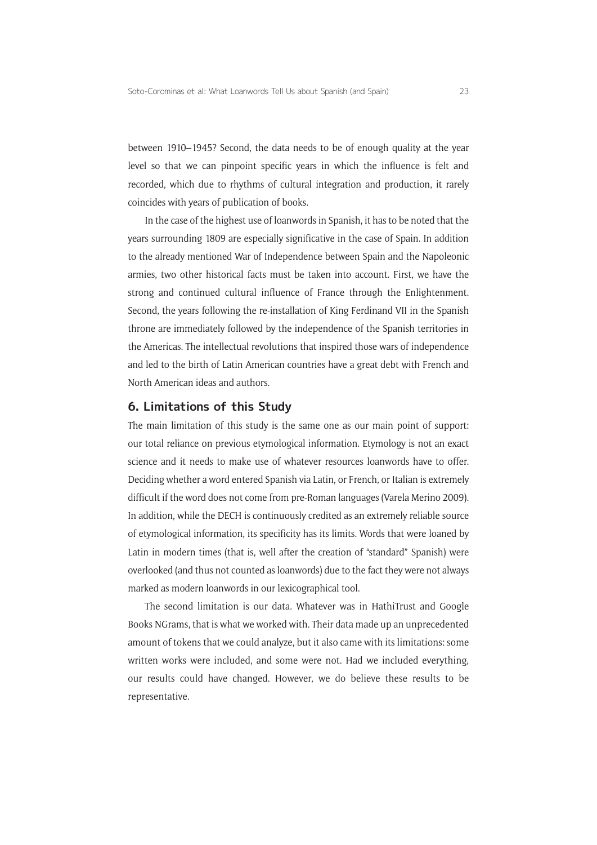between 1910–1945? Second, the data needs to be of enough quality at the year level so that we can pinpoint specific years in which the influence is felt and recorded, which due to rhythms of cultural integration and production, it rarely coincides with years of publication of books.

In the case of the highest use of loanwords in Spanish, it has to be noted that the years surrounding 1809 are especially significative in the case of Spain. In addition to the already mentioned War of Independence between Spain and the Napoleonic armies, two other historical facts must be taken into account. First, we have the strong and continued cultural influence of France through the Enlightenment. Second, the years following the re-installation of King Ferdinand VII in the Spanish throne are immediately followed by the independence of the Spanish territories in the Americas. The intellectual revolutions that inspired those wars of independence and led to the birth of Latin American countries have a great debt with French and North American ideas and authors.

#### **6. Limitations of this Study**

The main limitation of this study is the same one as our main point of support: our total reliance on previous etymological information. Etymology is not an exact science and it needs to make use of whatever resources loanwords have to offer. Deciding whether a word entered Spanish via Latin, or French, or Italian is extremely difficult if the word does not come from pre-Roman languages (Varela Merino 2009). In addition, while the DECH is continuously credited as an extremely reliable source of etymological information, its specificity has its limits. Words that were loaned by Latin in modern times (that is, well after the creation of "standard" Spanish) were overlooked (and thus not counted as loanwords) due to the fact they were not always marked as modern loanwords in our lexicographical tool.

The second limitation is our data. Whatever was in HathiTrust and Google Books NGrams, that is what we worked with. Their data made up an unprecedented amount of tokens that we could analyze, but it also came with its limitations: some written works were included, and some were not. Had we included everything, our results could have changed. However, we do believe these results to be representative.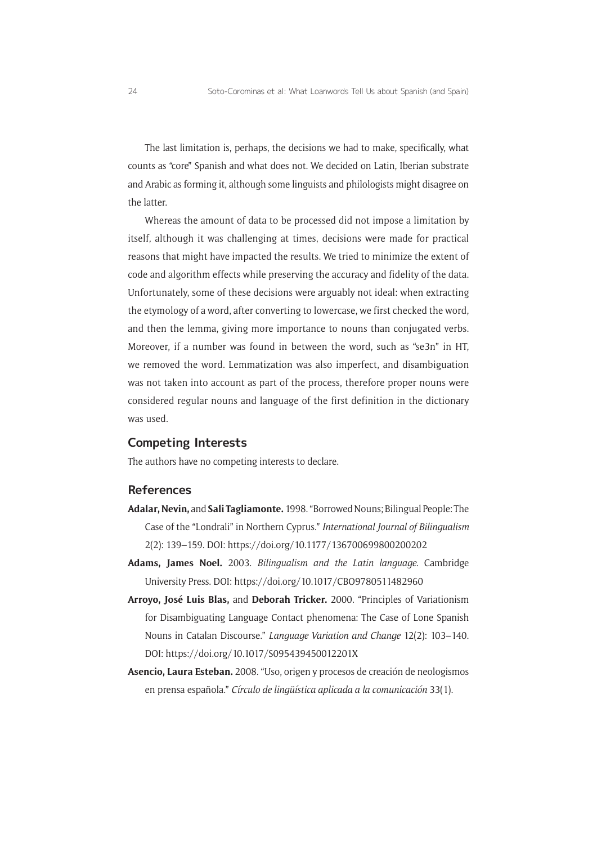The last limitation is, perhaps, the decisions we had to make, specifically, what counts as "core" Spanish and what does not. We decided on Latin, Iberian substrate and Arabic as forming it, although some linguists and philologists might disagree on the latter.

Whereas the amount of data to be processed did not impose a limitation by itself, although it was challenging at times, decisions were made for practical reasons that might have impacted the results. We tried to minimize the extent of code and algorithm effects while preserving the accuracy and fidelity of the data. Unfortunately, some of these decisions were arguably not ideal: when extracting the etymology of a word, after converting to lowercase, we first checked the word, and then the lemma, giving more importance to nouns than conjugated verbs. Moreover, if a number was found in between the word, such as "se3n" in HT, we removed the word. Lemmatization was also imperfect, and disambiguation was not taken into account as part of the process, therefore proper nouns were considered regular nouns and language of the first definition in the dictionary was used.

#### **Competing Interests**

The authors have no competing interests to declare.

#### **References**

- **Adalar, Nevin,** and **Sali Tagliamonte.** 1998. "Borrowed Nouns; Bilingual People: The Case of the "Londrali" in Northern Cyprus." *International Journal of Bilingualism* 2(2): 139–159. DOI:<https://doi.org/10.1177/136700699800200202>
- **Adams, James Noel.** 2003. *Bilingualism and the Latin language*. Cambridge University Press. DOI: <https://doi.org/10.1017/CBO9780511482960>
- **Arroyo, José Luis Blas,** and **Deborah Tricker.** 2000. "Principles of Variationism for Disambiguating Language Contact phenomena: The Case of Lone Spanish Nouns in Catalan Discourse." *Language Variation and Change* 12(2): 103–140. DOI:<https://doi.org/10.1017/S095439450012201X>
- **Asencio, Laura Esteban.** 2008. "Uso, origen y procesos de creación de neologismos en prensa española." *Círculo de lingüística aplicada a la comunicación* 33(1).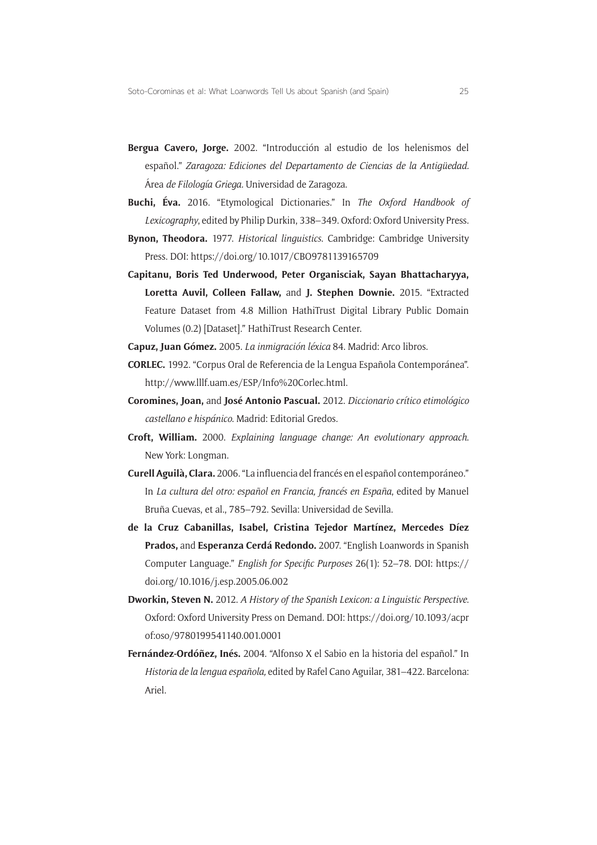- **Bergua Cavero, Jorge.** 2002. "Introducción al estudio de los helenismos del español." *Zaragoza: Ediciones del Departamento de Ciencias de la Antigüedad.*  Área *de Filología Griega.* Universidad de Zaragoza.
- **Buchi, Éva.** 2016. "Etymological Dictionaries." In *The Oxford Handbook of Lexicography*, edited by Philip Durkin, 338–349. Oxford: Oxford University Press.
- **Bynon, Theodora.** 1977. *Historical linguistics*. Cambridge: Cambridge University Press. DOI:<https://doi.org/10.1017/CBO9781139165709>
- **Capitanu, Boris Ted Underwood, Peter Organisciak, Sayan Bhattacharyya, Loretta Auvil, Colleen Fallaw,** and **J. Stephen Downie.** 2015. "Extracted Feature Dataset from 4.8 Million HathiTrust Digital Library Public Domain Volumes (0.2) [Dataset]." HathiTrust Research Center.
- **Capuz, Juan Gómez.** 2005. *La inmigración léxica* 84. Madrid: Arco libros.
- **CORLEC.** 1992. "Corpus Oral de Referencia de la Lengua Española Contemporánea". [http://www.lllf.uam.es/ESP/Info%20Corlec.html.](http://www.lllf.uam.es/ESP/Info%20Corlec.html)
- **Coromines, Joan,** and **José Antonio Pascual.** 2012. *Diccionario crítico etimológico castellano e hispánico*. Madrid: Editorial Gredos.
- **Croft, William.** 2000. *Explaining language change: An evolutionary approach*. New York: Longman.
- **Curell Aguilà, Clara.** 2006. "La influencia del francés en el español contemporáneo." In *La cultura del otro: español en Francia, francés en España*, edited by Manuel Bruña Cuevas, et al., 785–792. Sevilla: Universidad de Sevilla.
- **de la Cruz Cabanillas, Isabel, Cristina Tejedor Martínez, Mercedes Díez Prados,** and **Esperanza Cerdá Redondo.** 2007. "English Loanwords in Spanish Computer Language." *English for Specific Purposes* 26(1): 52–78. DOI: [https://](https://doi.org/10.1016/j.esp.2005.06.002) [doi.org/10.1016/j.esp.2005.06.002](https://doi.org/10.1016/j.esp.2005.06.002)
- **Dworkin, Steven N.** 2012. *A History of the Spanish Lexicon: a Linguistic Perspective*. Oxford: Oxford University Press on Demand. DOI: [https://doi.org/10.1093/acpr](https://doi.org/10.1093/acprof:oso/9780199541140.001.0001) [of:oso/9780199541140.001.0001](https://doi.org/10.1093/acprof:oso/9780199541140.001.0001)
- **Fernández-Ordóñez, Inés.** 2004. "Alfonso X el Sabio en la historia del español." In *Historia de la lengua española,* edited by Rafel Cano Aguilar, 381–422. Barcelona: Ariel.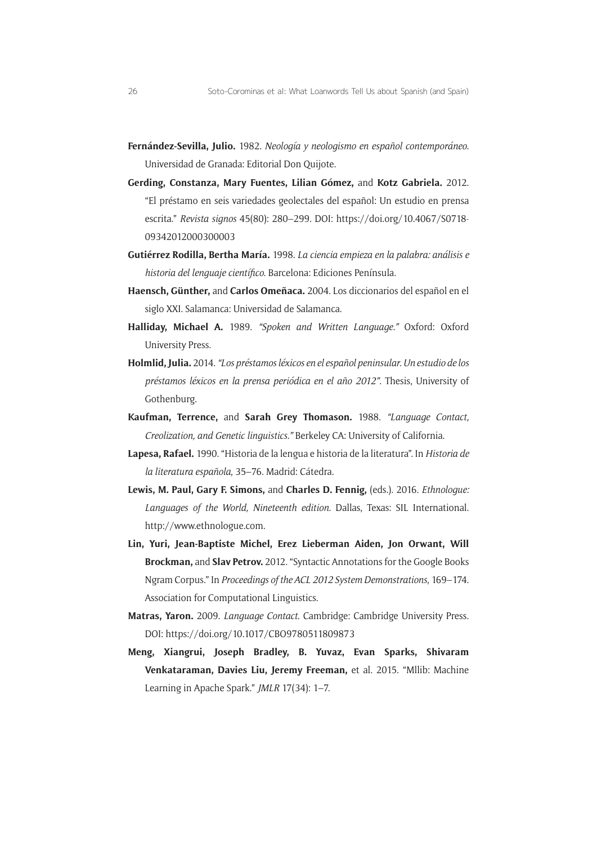- **Fernández-Sevilla, Julio.** 1982. *Neología y neologismo en español contemporáneo*. Universidad de Granada: Editorial Don Quijote.
- **Gerding, Constanza, Mary Fuentes, Lilian Gómez,** and **Kotz Gabriela.** 2012. "El préstamo en seis variedades geolectales del español: Un estudio en prensa escrita." *Revista signos* 45(80): 280–299. DOI: [https://doi.org/10.4067/S0718-](https://doi.org/10.4067/S0718-09342012000300003) [09342012000300003](https://doi.org/10.4067/S0718-09342012000300003)
- **Gutiérrez Rodilla, Bertha María.** 1998. *La ciencia empieza en la palabra: análisis e historia del lenguaje científico*. Barcelona: Ediciones Península.
- **Haensch, Günther,** and **Carlos Omeñaca.** 2004. Los diccionarios del español en el siglo XXI. Salamanca: Universidad de Salamanca.
- **Halliday, Michael A.** 1989. *"Spoken and Written Language."* Oxford: Oxford University Press.
- **Holmlid, Julia.** 2014. *"Los préstamos léxicos en el español peninsular. Un estudio de los préstamos léxicos en la prensa periódica en el año 2012"*. Thesis, University of Gothenburg.
- **Kaufman, Terrence,** and **Sarah Grey Thomason.** 1988. *"Language Contact, Creolization, and Genetic linguistics."* Berkeley CA: University of California.
- **Lapesa, Rafael.** 1990. "Historia de la lengua e historia de la literatura". In *Historia de la literatura española*, 35–76. Madrid: Cátedra.
- **Lewis, M. Paul, Gary F. Simons,** and **Charles D. Fennig,** (eds.). 2016. *Ethnologue: Languages of the World, Nineteenth edition.* Dallas, Texas: SIL International. [http://www.ethnologue.com.](http://www.ethnologue.com)
- **Lin, Yuri, Jean-Baptiste Michel, Erez Lieberman Aiden, Jon Orwant, Will Brockman,** and **Slav Petrov.** 2012. "Syntactic Annotations for the Google Books Ngram Corpus." In *Proceedings of the ACL 2012 System Demonstrations*, 169–174. Association for Computational Linguistics.
- **Matras, Yaron.** 2009. *Language Contact*. Cambridge: Cambridge University Press. DOI:<https://doi.org/10.1017/CBO9780511809873>
- **Meng, Xiangrui, Joseph Bradley, B. Yuvaz, Evan Sparks, Shivaram Venkataraman, Davies Liu, Jeremy Freeman,** et al. 2015. "Mllib: Machine Learning in Apache Spark." *JMLR* 17(34): 1–7.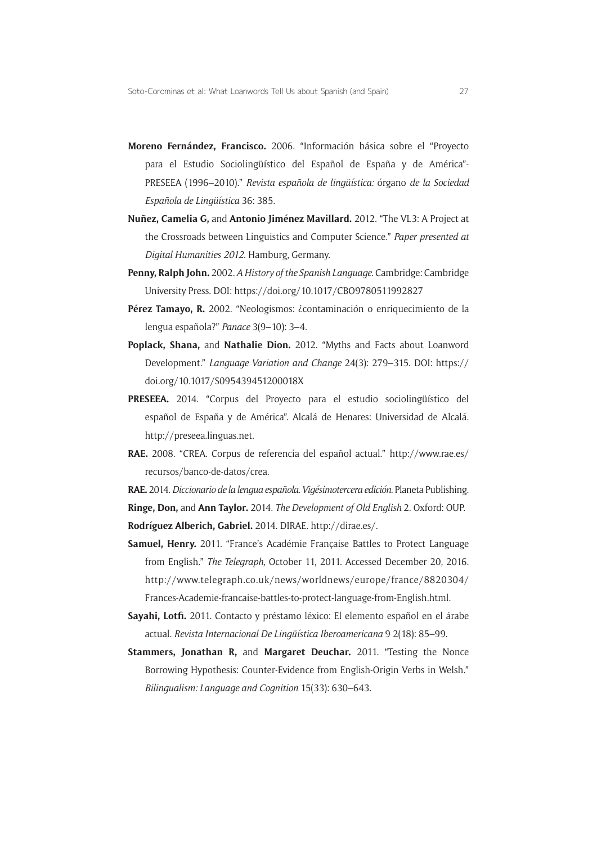- **Moreno Fernández, Francisco.** 2006. "Información básica sobre el "Proyecto para el Estudio Sociolingüístico del Español de España y de América"- PRESEEA (1996–2010)." *Revista española de lingüística:* órgano *de la Sociedad Española de Lingüística* 36: 385.
- **Nuñez, Camelia G,** and **Antonio Jiménez Mavillard.** 2012. "The VL3: A Project at the Crossroads between Linguistics and Computer Science." *Paper presented at Digital Humanities 2012*. Hamburg, Germany.
- **Penny, Ralph John.** 2002. *A History of the Spanish Language*. Cambridge: Cambridge University Press. DOI: <https://doi.org/10.1017/CBO9780511992827>
- Pérez Tamayo, R. 2002. "Neologismos: *i*contaminación o enriquecimiento de la lengua española?" *Panace* 3(9–10): 3–4.
- **Poplack, Shana,** and **Nathalie Dion.** 2012. "Myths and Facts about Loanword Development." *Language Variation and Change* 24(3): 279–315. DOI: [https://](https://doi.org/10.1017/S095439451200018X) [doi.org/10.1017/S095439451200018X](https://doi.org/10.1017/S095439451200018X)
- **PRESEEA.** 2014. "Corpus del Proyecto para el estudio sociolingüístico del español de España y de América". Alcalá de Henares: Universidad de Alcalá. [http://preseea.linguas.net.](http://preseea.linguas.net)
- **RAE.** 2008. "CREA. Corpus de referencia del español actual." [http://www.rae.es/](http://www.rae.es/recursos/banco-de-datos/crea) [recursos/banco-de-datos/crea.](http://www.rae.es/recursos/banco-de-datos/crea)

**RAE.** 2014. *Diccionario de la lengua española*. *Vigésimotercera edición*. Planeta Publishing. **Ringe, Don,** and **Ann Taylor.** 2014. *The Development of Old English* 2. Oxford: OUP.

**Rodríguez Alberich, Gabriel.** 2014. DIRAE. [http://dirae.es/.](http://dirae.es/)

- **Samuel, Henry.** 2011. "France's Académie Française Battles to Protect Language from English." *The Telegraph,* October 11, 2011. Accessed December 20, 2016. [http://www.telegraph.co.uk/news/worldnews/europe/france/8820304/](http://www.telegraph.co.uk/news/worldnews/europe/france/8820304/Frances-Academie-francaise-battles-to-protect-language-from-English.html) [Frances-Academie-francaise-battles-to-protect-language-from-English.html.](http://www.telegraph.co.uk/news/worldnews/europe/france/8820304/Frances-Academie-francaise-battles-to-protect-language-from-English.html)
- **Sayahi, Lotfi.** 2011. Contacto y préstamo léxico: El elemento español en el árabe actual. *Revista Internacional De Lingüística Iberoamericana* 9 2(18): 85–99.
- **Stammers, Jonathan R,** and **Margaret Deuchar.** 2011. "Testing the Nonce Borrowing Hypothesis: Counter-Evidence from English-Origin Verbs in Welsh." *Bilingualism: Language and Cognition* 15(33): 630–643.